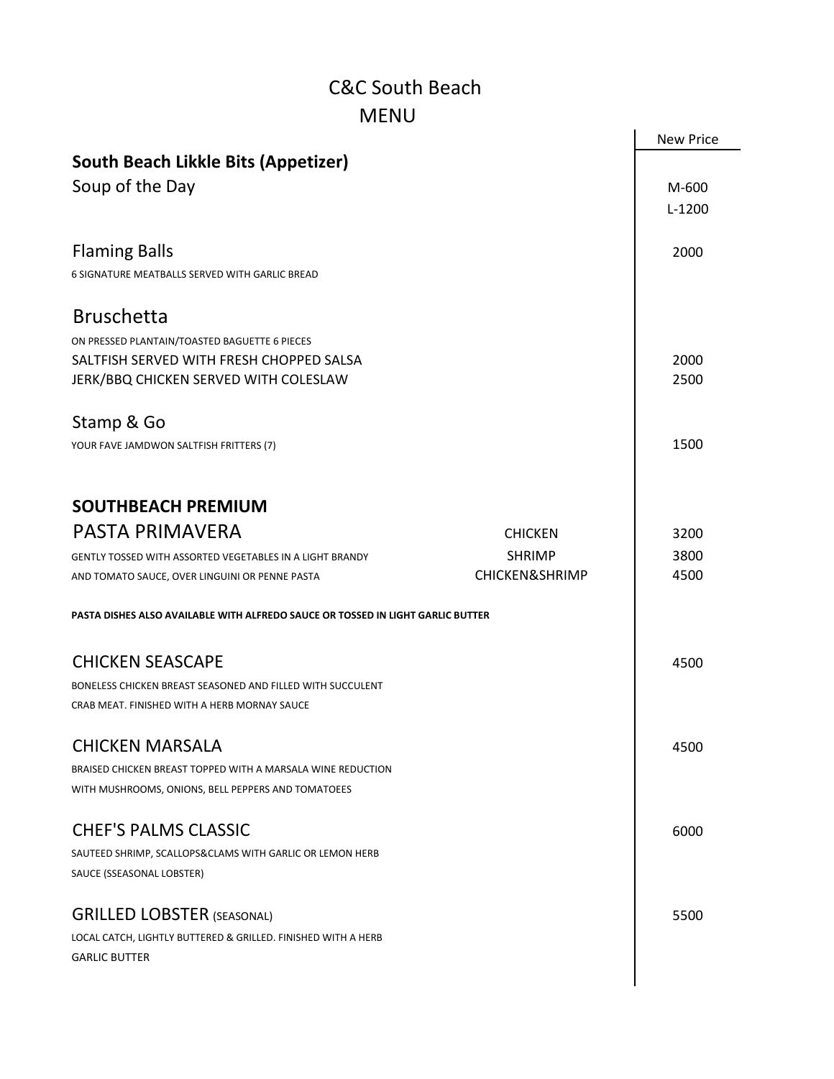## C&C South Beach MENU

| <b>MENU</b>                                                                     |                           |                  |
|---------------------------------------------------------------------------------|---------------------------|------------------|
|                                                                                 |                           | <b>New Price</b> |
| <b>South Beach Likkle Bits (Appetizer)</b>                                      |                           |                  |
| Soup of the Day                                                                 |                           | M-600            |
|                                                                                 |                           | $L-1200$         |
|                                                                                 |                           |                  |
| <b>Flaming Balls</b>                                                            |                           | 2000             |
| 6 SIGNATURE MEATBALLS SERVED WITH GARLIC BREAD                                  |                           |                  |
|                                                                                 |                           |                  |
| <b>Bruschetta</b>                                                               |                           |                  |
| ON PRESSED PLANTAIN/TOASTED BAGUETTE 6 PIECES                                   |                           |                  |
| SALTFISH SERVED WITH FRESH CHOPPED SALSA                                        |                           | 2000             |
| JERK/BBQ CHICKEN SERVED WITH COLESLAW                                           |                           | 2500             |
|                                                                                 |                           |                  |
| Stamp & Go                                                                      |                           |                  |
| YOUR FAVE JAMDWON SALTFISH FRITTERS (7)                                         |                           | 1500             |
|                                                                                 |                           |                  |
| <b>SOUTHBEACH PREMIUM</b>                                                       |                           |                  |
| <b>PASTA PRIMAVERA</b>                                                          | <b>CHICKEN</b>            | 3200             |
| <b>GENTLY TOSSED WITH ASSORTED VEGETABLES IN A LIGHT BRANDY</b>                 | <b>SHRIMP</b>             | 3800             |
| AND TOMATO SAUCE, OVER LINGUINI OR PENNE PASTA                                  | <b>CHICKEN&amp;SHRIMP</b> | 4500             |
| PASTA DISHES ALSO AVAILABLE WITH ALFREDO SAUCE OR TOSSED IN LIGHT GARLIC BUTTER |                           |                  |
| <b>CHICKEN SEASCAPE</b>                                                         |                           | 4500             |
| BONELESS CHICKEN BREAST SEASONED AND FILLED WITH SUCCULENT                      |                           |                  |
| CRAB MEAT. FINISHED WITH A HERB MORNAY SAUCE                                    |                           |                  |
|                                                                                 |                           |                  |
| <b>CHICKEN MARSALA</b>                                                          |                           | 4500             |
| BRAISED CHICKEN BREAST TOPPED WITH A MARSALA WINE REDUCTION                     |                           |                  |
| WITH MUSHROOMS, ONIONS, BELL PEPPERS AND TOMATOEES                              |                           |                  |
| <b>CHEF'S PALMS CLASSIC</b>                                                     |                           | 6000             |
| SAUTEED SHRIMP, SCALLOPS&CLAMS WITH GARLIC OR LEMON HERB                        |                           |                  |
| SAUCE (SSEASONAL LOBSTER)                                                       |                           |                  |
|                                                                                 |                           |                  |
| <b>GRILLED LOBSTER (SEASONAL)</b>                                               |                           | 5500             |
| LOCAL CATCH, LIGHTLY BUTTERED & GRILLED. FINISHED WITH A HERB                   |                           |                  |
| <b>GARLIC BUTTER</b>                                                            |                           |                  |
|                                                                                 |                           |                  |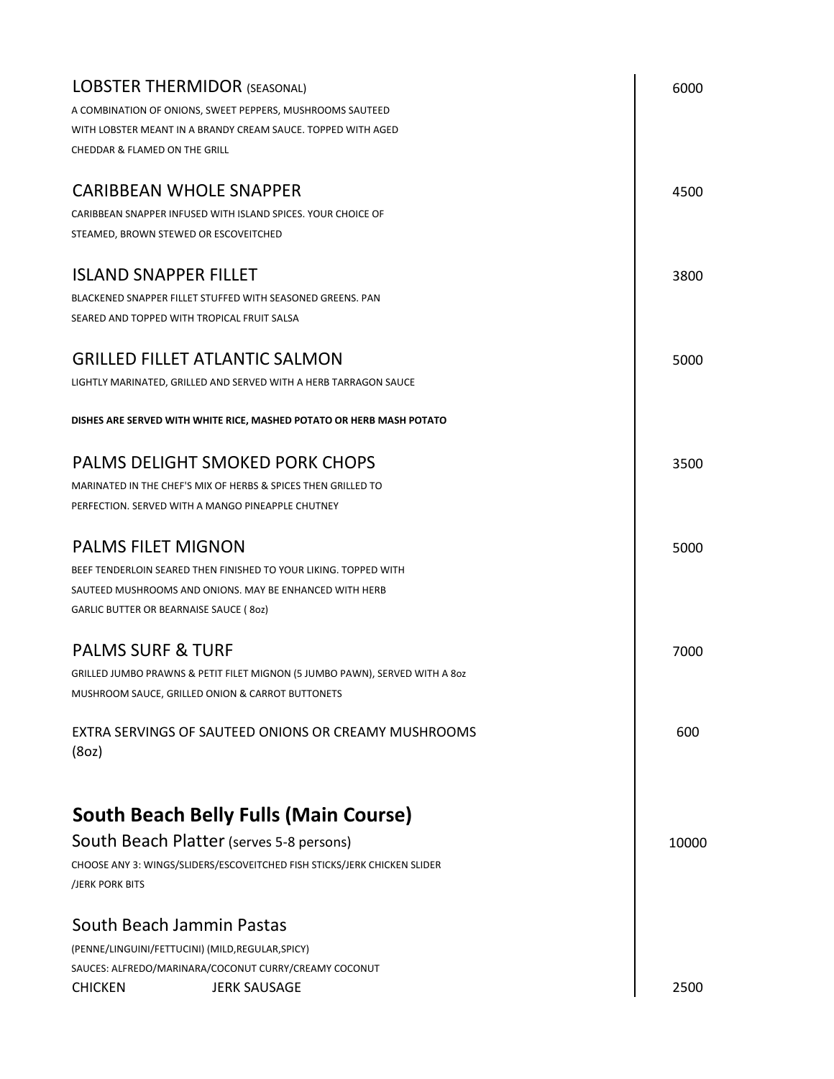| <b>LOBSTER THERMIDOR (SEASONAL)</b>                                                         | 6000  |
|---------------------------------------------------------------------------------------------|-------|
| A COMBINATION OF ONIONS, SWEET PEPPERS, MUSHROOMS SAUTEED                                   |       |
| WITH LOBSTER MEANT IN A BRANDY CREAM SAUCE. TOPPED WITH AGED                                |       |
| CHEDDAR & FLAMED ON THE GRILL                                                               |       |
| <b>CARIBBEAN WHOLE SNAPPER</b>                                                              | 4500  |
| CARIBBEAN SNAPPER INFUSED WITH ISLAND SPICES. YOUR CHOICE OF                                |       |
| STEAMED, BROWN STEWED OR ESCOVEITCHED                                                       |       |
| <b>ISLAND SNAPPER FILLET</b>                                                                | 3800  |
| BLACKENED SNAPPER FILLET STUFFED WITH SEASONED GREENS. PAN                                  |       |
| SEARED AND TOPPED WITH TROPICAL FRUIT SALSA                                                 |       |
| <b>GRILLED FILLET ATLANTIC SALMON</b>                                                       | 5000  |
| LIGHTLY MARINATED, GRILLED AND SERVED WITH A HERB TARRAGON SAUCE                            |       |
| DISHES ARE SERVED WITH WHITE RICE, MASHED POTATO OR HERB MASH POTATO                        |       |
| <b>PALMS DELIGHT SMOKED PORK CHOPS</b>                                                      | 3500  |
| MARINATED IN THE CHEF'S MIX OF HERBS & SPICES THEN GRILLED TO                               |       |
| PERFECTION. SERVED WITH A MANGO PINEAPPLE CHUTNEY                                           |       |
| <b>PALMS FILET MIGNON</b>                                                                   | 5000  |
| BEEF TENDERLOIN SEARED THEN FINISHED TO YOUR LIKING. TOPPED WITH                            |       |
| SAUTEED MUSHROOMS AND ONIONS. MAY BE ENHANCED WITH HERB                                     |       |
| GARLIC BUTTER OR BEARNAISE SAUCE (80z)                                                      |       |
| <b>PALMS SURF &amp; TURF</b>                                                                | 7000  |
| GRILLED JUMBO PRAWNS & PETIT FILET MIGNON (5 JUMBO PAWN), SERVED WITH A 80z                 |       |
| MUSHROOM SAUCE, GRILLED ONION & CARROT BUTTONETS                                            |       |
| EXTRA SERVINGS OF SAUTEED ONIONS OR CREAMY MUSHROOMS                                        | 600   |
| (8oz)                                                                                       |       |
|                                                                                             |       |
| <b>South Beach Belly Fulls (Main Course)</b>                                                |       |
| South Beach Platter (serves 5-8 persons)                                                    | 10000 |
| CHOOSE ANY 3: WINGS/SLIDERS/ESCOVEITCHED FISH STICKS/JERK CHICKEN SLIDER<br>/JERK PORK BITS |       |
| South Beach Jammin Pastas                                                                   |       |
| (PENNE/LINGUINI/FETTUCINI) (MILD, REGULAR, SPICY)                                           |       |
| SAUCES: ALFREDO/MARINARA/COCONUT CURRY/CREAMY COCONUT                                       |       |
| <b>CHICKEN</b><br><b>JERK SAUSAGE</b>                                                       | 2500  |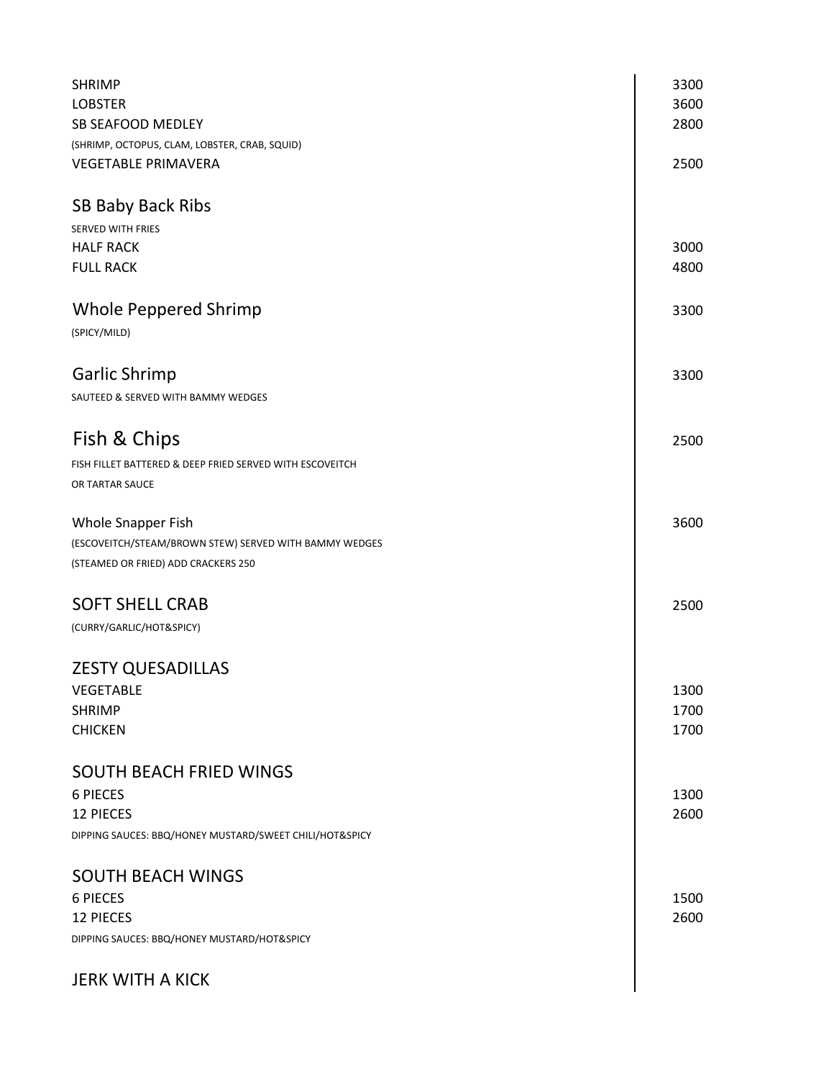| <b>SHRIMP</b><br><b>LOBSTER</b><br>SB SEAFOOD MEDLEY                                                                      | 3300<br>3600<br>2800 |
|---------------------------------------------------------------------------------------------------------------------------|----------------------|
| (SHRIMP, OCTOPUS, CLAM, LOBSTER, CRAB, SQUID)<br><b>VEGETABLE PRIMAVERA</b>                                               | 2500                 |
| <b>SB Baby Back Ribs</b>                                                                                                  |                      |
| <b>SERVED WITH FRIES</b><br><b>HALF RACK</b><br><b>FULL RACK</b>                                                          | 3000<br>4800         |
| Whole Peppered Shrimp<br>(SPICY/MILD)                                                                                     | 3300                 |
| <b>Garlic Shrimp</b><br>SAUTEED & SERVED WITH BAMMY WEDGES                                                                | 3300                 |
| Fish & Chips<br>FISH FILLET BATTERED & DEEP FRIED SERVED WITH ESCOVEITCH<br>OR TARTAR SAUCE                               | 2500                 |
| Whole Snapper Fish<br>(ESCOVEITCH/STEAM/BROWN STEW) SERVED WITH BAMMY WEDGES<br>(STEAMED OR FRIED) ADD CRACKERS 250       | 3600                 |
| <b>SOFT SHELL CRAB</b><br>(CURRY/GARLIC/HOT&SPICY)                                                                        | 2500                 |
| <b>ZESTY QUESADILLAS</b><br><b>VEGETABLE</b><br><b>SHRIMP</b><br><b>CHICKEN</b>                                           | 1300<br>1700<br>1700 |
| <b>SOUTH BEACH FRIED WINGS</b><br><b>6 PIECES</b><br>12 PIECES<br>DIPPING SAUCES: BBQ/HONEY MUSTARD/SWEET CHILI/HOT&SPICY | 1300<br>2600         |
| <b>SOUTH BEACH WINGS</b><br><b>6 PIECES</b><br><b>12 PIECES</b><br>DIPPING SAUCES: BBQ/HONEY MUSTARD/HOT&SPICY            | 1500<br>2600         |
| <b>JERK WITH A KICK</b>                                                                                                   |                      |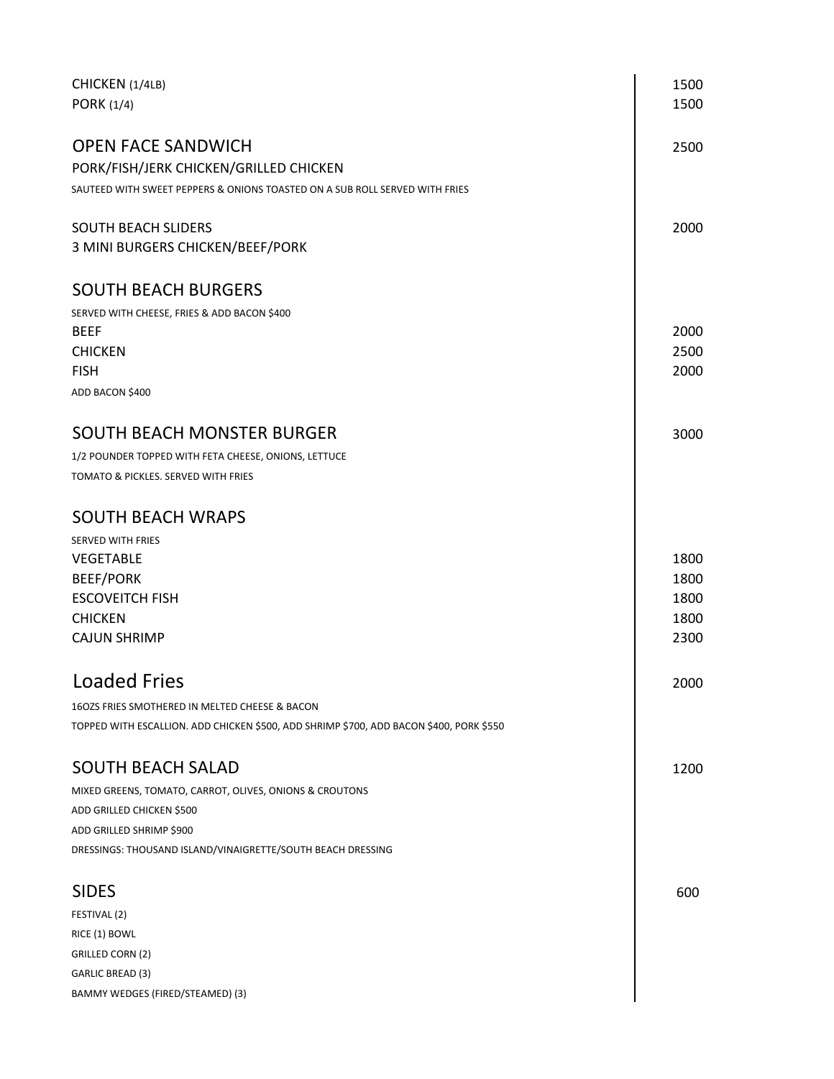| CHICKEN (1/4LB)<br>PORK (1/4)                                                           | 1500<br>1500 |
|-----------------------------------------------------------------------------------------|--------------|
| <b>OPEN FACE SANDWICH</b>                                                               | 2500         |
| PORK/FISH/JERK CHICKEN/GRILLED CHICKEN                                                  |              |
| SAUTEED WITH SWEET PEPPERS & ONIONS TOASTED ON A SUB ROLL SERVED WITH FRIES             |              |
| <b>SOUTH BEACH SLIDERS</b>                                                              | 2000         |
| 3 MINI BURGERS CHICKEN/BEEF/PORK                                                        |              |
| <b>SOUTH BEACH BURGERS</b>                                                              |              |
| SERVED WITH CHEESE, FRIES & ADD BACON \$400                                             |              |
| <b>BEEF</b>                                                                             | 2000         |
| <b>CHICKEN</b>                                                                          | 2500         |
| <b>FISH</b>                                                                             | 2000         |
| ADD BACON \$400                                                                         |              |
| <b>SOUTH BEACH MONSTER BURGER</b>                                                       | 3000         |
| 1/2 POUNDER TOPPED WITH FETA CHEESE, ONIONS, LETTUCE                                    |              |
| TOMATO & PICKLES. SERVED WITH FRIES                                                     |              |
| <b>SOUTH BEACH WRAPS</b>                                                                |              |
| <b>SERVED WITH FRIES</b>                                                                |              |
| <b>VEGETABLE</b>                                                                        | 1800         |
| <b>BEEF/PORK</b>                                                                        | 1800         |
| <b>ESCOVEITCH FISH</b>                                                                  | 1800         |
| <b>CHICKEN</b>                                                                          | 1800         |
| <b>CAJUN SHRIMP</b>                                                                     | 2300         |
| <b>Loaded Fries</b>                                                                     | 2000         |
| 160ZS FRIES SMOTHERED IN MELTED CHEESE & BACON                                          |              |
| TOPPED WITH ESCALLION. ADD CHICKEN \$500, ADD SHRIMP \$700, ADD BACON \$400, PORK \$550 |              |
| <b>SOUTH BEACH SALAD</b>                                                                | 1200         |
| MIXED GREENS, TOMATO, CARROT, OLIVES, ONIONS & CROUTONS                                 |              |
| ADD GRILLED CHICKEN \$500                                                               |              |
| ADD GRILLED SHRIMP \$900                                                                |              |
| DRESSINGS: THOUSAND ISLAND/VINAIGRETTE/SOUTH BEACH DRESSING                             |              |
| <b>SIDES</b>                                                                            | 600          |
| FESTIVAL (2)                                                                            |              |
| RICE (1) BOWL                                                                           |              |
| GRILLED CORN (2)                                                                        |              |
| <b>GARLIC BREAD (3)</b>                                                                 |              |
| BAMMY WEDGES (FIRED/STEAMED) (3)                                                        |              |